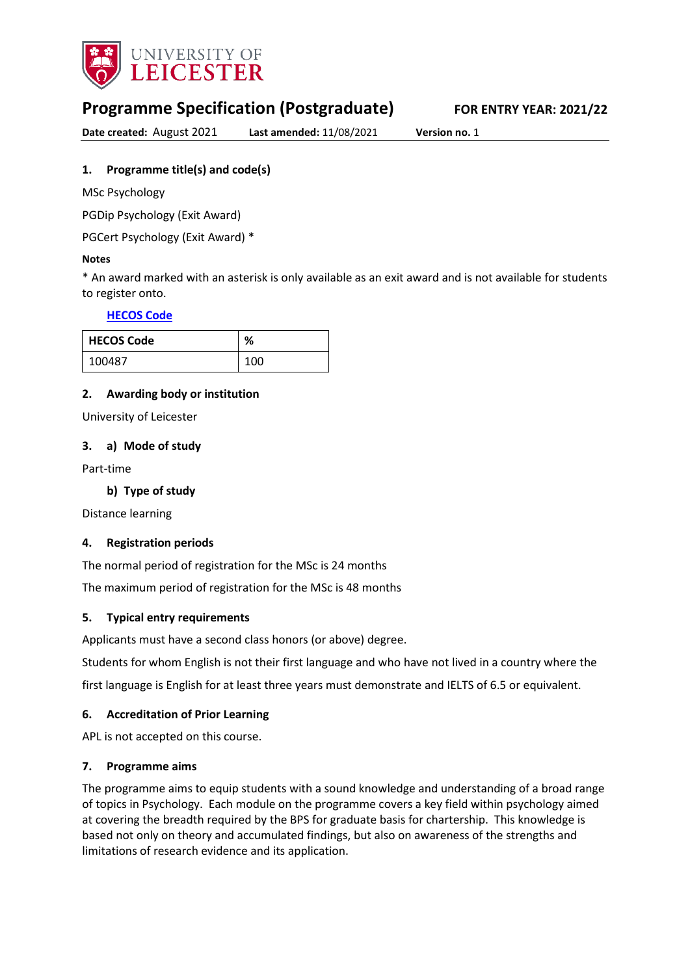

# **Programme Specification (Postgraduate) FOR ENTRY YEAR: 2021/22**

**Date created:** August 2021 **Last amended:** 11/08/2021 **Version no.** 1

## <span id="page-0-0"></span>**1. Programme title(s) and code(s)**

MSc Psychology

PGDip Psychology (Exit Award)

PGCert Psychology (Exit Award) \*

#### **Notes**

\* An award marked with an asterisk is only available as an exit award and is not available for students to register onto.

### **[HECOS Code](https://www.hesa.ac.uk/innovation/hecos)**

| <b>HECOS Code</b> | $\mathbf{O}/$<br>70 |
|-------------------|---------------------|
| 100487            | 100                 |

### **2. Awarding body or institution**

University of Leicester

#### **3. a) Mode of study**

Part-time

### **b) Type of study**

Distance learning

#### **4. Registration periods**

The normal period of registration for the MSc is 24 months

The maximum period of registration for the MSc is 48 months

### **5. Typical entry requirements**

Applicants must have a second class honors (or above) degree.

Students for whom English is not their first language and who have not lived in a country where the

first language is English for at least three years must demonstrate and IELTS of 6.5 or equivalent.

### **6. Accreditation of Prior Learning**

APL is not accepted on this course.

#### **7. Programme aims**

The programme aims to equip students with a sound knowledge and understanding of a broad range of topics in Psychology. Each module on the programme covers a key field within psychology aimed at covering the breadth required by the BPS for graduate basis for chartership. This knowledge is based not only on theory and accumulated findings, but also on awareness of the strengths and limitations of research evidence and its application.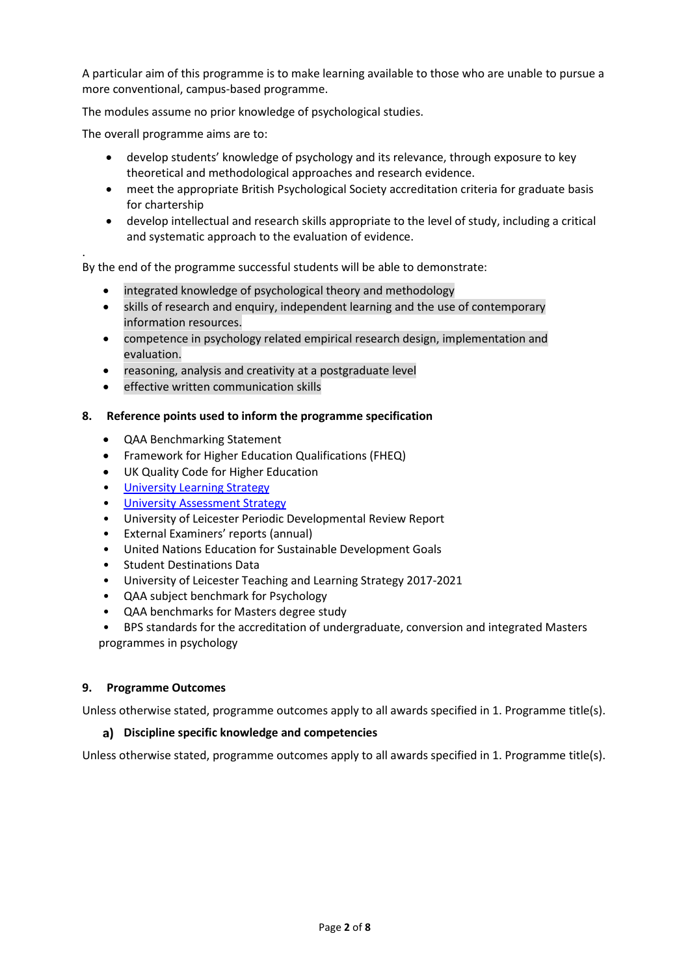A particular aim of this programme is to make learning available to those who are unable to pursue a more conventional, campus-based programme.

The modules assume no prior knowledge of psychological studies.

The overall programme aims are to:

.

- develop students' knowledge of psychology and its relevance, through exposure to key theoretical and methodological approaches and research evidence.
- meet the appropriate British Psychological Society accreditation criteria for graduate basis for chartership
- develop intellectual and research skills appropriate to the level of study, including a critical and systematic approach to the evaluation of evidence.

By the end of the programme successful students will be able to demonstrate:

- integrated knowledge of psychological theory and methodology
- skills of research and enquiry, independent learning and the use of contemporary information resources.
- competence in psychology related empirical research design, implementation and evaluation.
- reasoning, analysis and creativity at a postgraduate level
- effective written communication skills

#### **8. Reference points used to inform the programme specification**

- QAA Benchmarking Statement
- Framework for Higher Education Qualifications (FHEQ)
- UK Quality Code for Higher Education
- [University Learning](https://www2.le.ac.uk/offices/sas2/quality/learnteach) Strategy
- [University Assessment Strategy](https://www2.le.ac.uk/offices/sas2/quality/learnteach)
- University of Leicester Periodic Developmental Review Report
- External Examiners' reports (annual)
- United Nations Education for Sustainable Development Goals
- Student Destinations Data
- University of Leicester Teaching and Learning Strategy 2017-2021
- QAA subject benchmark for Psychology
- QAA benchmarks for Masters degree study
- BPS standards for the accreditation of undergraduate, conversion and integrated Masters programmes in psychology

#### **9. Programme Outcomes**

Unless otherwise stated, programme outcomes apply to all awards specified in [1.](#page-0-0) Programme title(s).

#### **Discipline specific knowledge and competencies**

Unless otherwise stated, programme outcomes apply to all awards specified in 1. Programme title(s).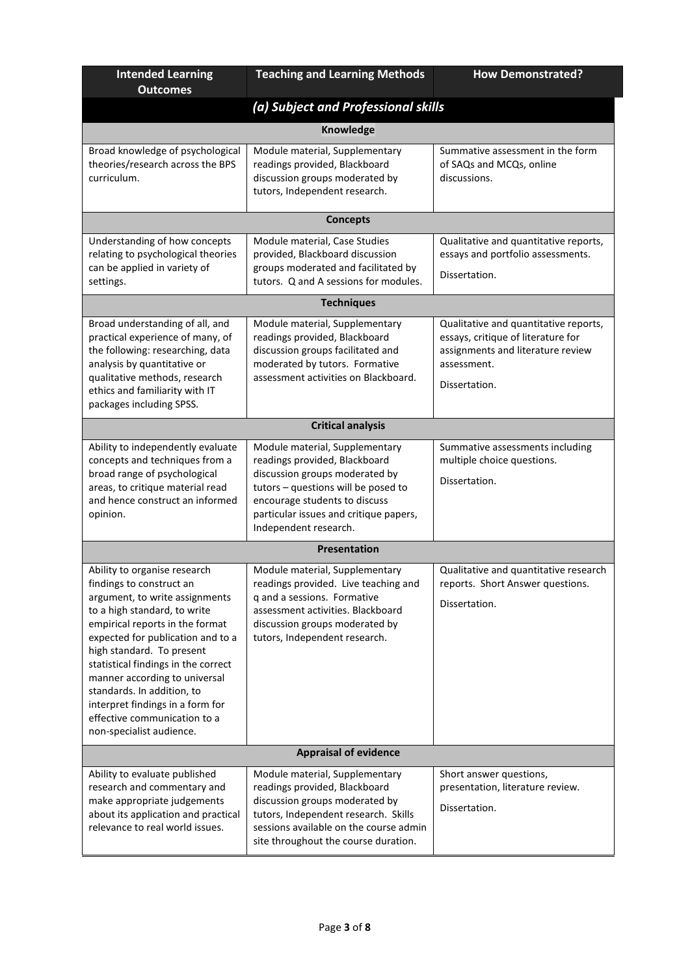| <b>Intended Learning</b><br><b>Outcomes</b>                                                                                                                                                                                                                                                                                                                                                                                           | <b>Teaching and Learning Methods</b>                                                                                                                                                                                                         | <b>How Demonstrated?</b>                                                                                                                         |  |  |
|---------------------------------------------------------------------------------------------------------------------------------------------------------------------------------------------------------------------------------------------------------------------------------------------------------------------------------------------------------------------------------------------------------------------------------------|----------------------------------------------------------------------------------------------------------------------------------------------------------------------------------------------------------------------------------------------|--------------------------------------------------------------------------------------------------------------------------------------------------|--|--|
|                                                                                                                                                                                                                                                                                                                                                                                                                                       | (a) Subject and Professional skills                                                                                                                                                                                                          |                                                                                                                                                  |  |  |
|                                                                                                                                                                                                                                                                                                                                                                                                                                       | <b>Knowledge</b>                                                                                                                                                                                                                             |                                                                                                                                                  |  |  |
| Broad knowledge of psychological<br>theories/research across the BPS<br>curriculum.                                                                                                                                                                                                                                                                                                                                                   | Module material, Supplementary<br>readings provided, Blackboard<br>discussion groups moderated by<br>tutors, Independent research.                                                                                                           | Summative assessment in the form<br>of SAQs and MCQs, online<br>discussions.                                                                     |  |  |
|                                                                                                                                                                                                                                                                                                                                                                                                                                       | <b>Concepts</b>                                                                                                                                                                                                                              |                                                                                                                                                  |  |  |
| Understanding of how concepts<br>relating to psychological theories<br>can be applied in variety of<br>settings.                                                                                                                                                                                                                                                                                                                      | Module material, Case Studies<br>provided, Blackboard discussion<br>groups moderated and facilitated by<br>tutors. Q and A sessions for modules.                                                                                             | Qualitative and quantitative reports,<br>essays and portfolio assessments.<br>Dissertation.                                                      |  |  |
|                                                                                                                                                                                                                                                                                                                                                                                                                                       | <b>Techniques</b>                                                                                                                                                                                                                            |                                                                                                                                                  |  |  |
| Broad understanding of all, and<br>practical experience of many, of<br>the following: researching, data<br>analysis by quantitative or<br>qualitative methods, research<br>ethics and familiarity with IT<br>packages including SPSS.                                                                                                                                                                                                 | Module material, Supplementary<br>readings provided, Blackboard<br>discussion groups facilitated and<br>moderated by tutors. Formative<br>assessment activities on Blackboard.                                                               | Qualitative and quantitative reports,<br>essays, critique of literature for<br>assignments and literature review<br>assessment.<br>Dissertation. |  |  |
|                                                                                                                                                                                                                                                                                                                                                                                                                                       | <b>Critical analysis</b>                                                                                                                                                                                                                     |                                                                                                                                                  |  |  |
| Ability to independently evaluate<br>concepts and techniques from a<br>broad range of psychological<br>areas, to critique material read<br>and hence construct an informed<br>opinion.                                                                                                                                                                                                                                                | Module material, Supplementary<br>readings provided, Blackboard<br>discussion groups moderated by<br>tutors - questions will be posed to<br>encourage students to discuss<br>particular issues and critique papers,<br>Independent research. | Summative assessments including<br>multiple choice questions.<br>Dissertation.                                                                   |  |  |
|                                                                                                                                                                                                                                                                                                                                                                                                                                       | <b>Presentation</b>                                                                                                                                                                                                                          |                                                                                                                                                  |  |  |
| Ability to organise research<br>findings to construct an<br>argument, to write assignments<br>to a high standard, to write<br>empirical reports in the format<br>expected for publication and to a<br>high standard. To present<br>statistical findings in the correct<br>manner according to universal<br>standards. In addition, to<br>interpret findings in a form for<br>effective communication to a<br>non-specialist audience. | Module material, Supplementary<br>readings provided. Live teaching and<br>q and a sessions. Formative<br>assessment activities. Blackboard<br>discussion groups moderated by<br>tutors, Independent research.                                | Qualitative and quantitative research<br>reports. Short Answer questions.<br>Dissertation.                                                       |  |  |
| <b>Appraisal of evidence</b>                                                                                                                                                                                                                                                                                                                                                                                                          |                                                                                                                                                                                                                                              |                                                                                                                                                  |  |  |
| Ability to evaluate published<br>research and commentary and<br>make appropriate judgements<br>about its application and practical<br>relevance to real world issues.                                                                                                                                                                                                                                                                 | Module material, Supplementary<br>readings provided, Blackboard<br>discussion groups moderated by<br>tutors, Independent research. Skills<br>sessions available on the course admin<br>site throughout the course duration.                  | Short answer questions,<br>presentation, literature review.<br>Dissertation.                                                                     |  |  |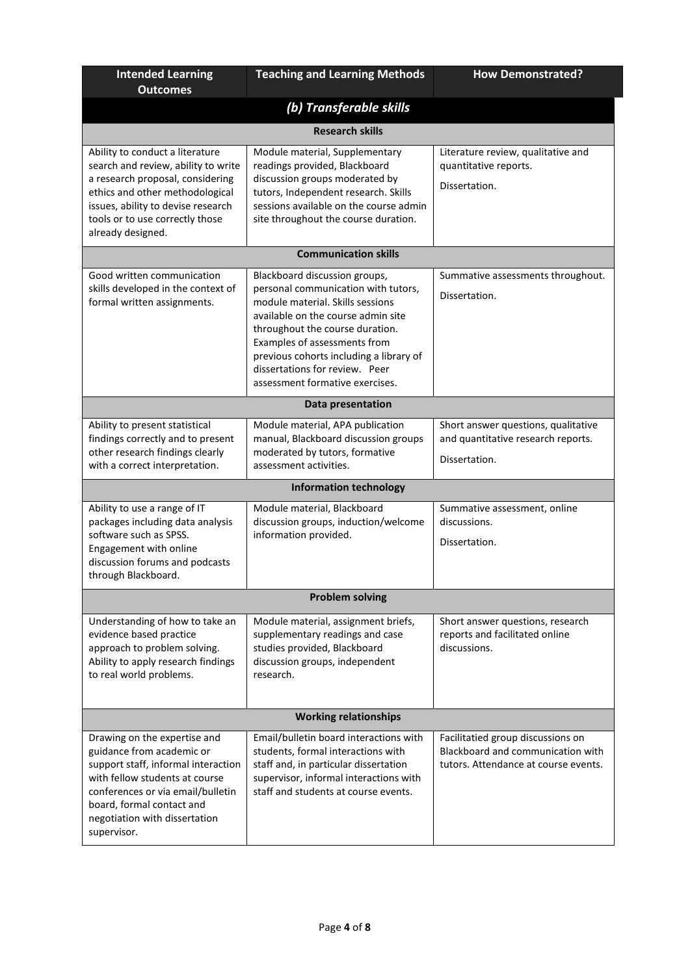| <b>Intended Learning</b><br><b>Outcomes</b>                                                                                                                                                                                                          | <b>Teaching and Learning Methods</b>                                                                                                                                                                                                                                                                                              | <b>How Demonstrated?</b>                                                                                       |  |  |  |  |  |
|------------------------------------------------------------------------------------------------------------------------------------------------------------------------------------------------------------------------------------------------------|-----------------------------------------------------------------------------------------------------------------------------------------------------------------------------------------------------------------------------------------------------------------------------------------------------------------------------------|----------------------------------------------------------------------------------------------------------------|--|--|--|--|--|
|                                                                                                                                                                                                                                                      | (b) Transferable skills                                                                                                                                                                                                                                                                                                           |                                                                                                                |  |  |  |  |  |
|                                                                                                                                                                                                                                                      | <b>Research skills</b>                                                                                                                                                                                                                                                                                                            |                                                                                                                |  |  |  |  |  |
| Ability to conduct a literature<br>search and review, ability to write<br>a research proposal, considering<br>ethics and other methodological<br>issues, ability to devise research<br>tools or to use correctly those<br>already designed.          | Module material, Supplementary<br>readings provided, Blackboard<br>discussion groups moderated by<br>tutors, Independent research. Skills<br>sessions available on the course admin<br>site throughout the course duration.                                                                                                       | Literature review, qualitative and<br>quantitative reports.<br>Dissertation.                                   |  |  |  |  |  |
|                                                                                                                                                                                                                                                      | <b>Communication skills</b>                                                                                                                                                                                                                                                                                                       |                                                                                                                |  |  |  |  |  |
| Good written communication<br>skills developed in the context of<br>formal written assignments.                                                                                                                                                      | Blackboard discussion groups,<br>personal communication with tutors,<br>module material. Skills sessions<br>available on the course admin site<br>throughout the course duration.<br>Examples of assessments from<br>previous cohorts including a library of<br>dissertations for review. Peer<br>assessment formative exercises. | Summative assessments throughout.<br>Dissertation.                                                             |  |  |  |  |  |
|                                                                                                                                                                                                                                                      | Data presentation                                                                                                                                                                                                                                                                                                                 |                                                                                                                |  |  |  |  |  |
| Ability to present statistical<br>findings correctly and to present<br>other research findings clearly<br>with a correct interpretation.                                                                                                             | Module material, APA publication<br>manual, Blackboard discussion groups<br>moderated by tutors, formative<br>assessment activities.                                                                                                                                                                                              | Short answer questions, qualitative<br>and quantitative research reports.<br>Dissertation.                     |  |  |  |  |  |
|                                                                                                                                                                                                                                                      | <b>Information technology</b>                                                                                                                                                                                                                                                                                                     |                                                                                                                |  |  |  |  |  |
| Ability to use a range of IT<br>packages including data analysis<br>software such as SPSS.<br>Engagement with online<br>discussion forums and podcasts<br>through Blackboard.                                                                        | Module material, Blackboard<br>discussion groups, induction/welcome<br>information provided.                                                                                                                                                                                                                                      | Summative assessment, online<br>discussions.<br>Dissertation.                                                  |  |  |  |  |  |
|                                                                                                                                                                                                                                                      | <b>Problem solving</b>                                                                                                                                                                                                                                                                                                            |                                                                                                                |  |  |  |  |  |
| Understanding of how to take an<br>evidence based practice<br>approach to problem solving.<br>Ability to apply research findings<br>to real world problems.                                                                                          | Module material, assignment briefs,<br>supplementary readings and case<br>studies provided, Blackboard<br>discussion groups, independent<br>research.                                                                                                                                                                             | Short answer questions, research<br>reports and facilitated online<br>discussions.                             |  |  |  |  |  |
| <b>Working relationships</b>                                                                                                                                                                                                                         |                                                                                                                                                                                                                                                                                                                                   |                                                                                                                |  |  |  |  |  |
| Drawing on the expertise and<br>guidance from academic or<br>support staff, informal interaction<br>with fellow students at course<br>conferences or via email/bulletin<br>board, formal contact and<br>negotiation with dissertation<br>supervisor. | Email/bulletin board interactions with<br>students, formal interactions with<br>staff and, in particular dissertation<br>supervisor, informal interactions with<br>staff and students at course events.                                                                                                                           | Facilitatied group discussions on<br>Blackboard and communication with<br>tutors. Attendance at course events. |  |  |  |  |  |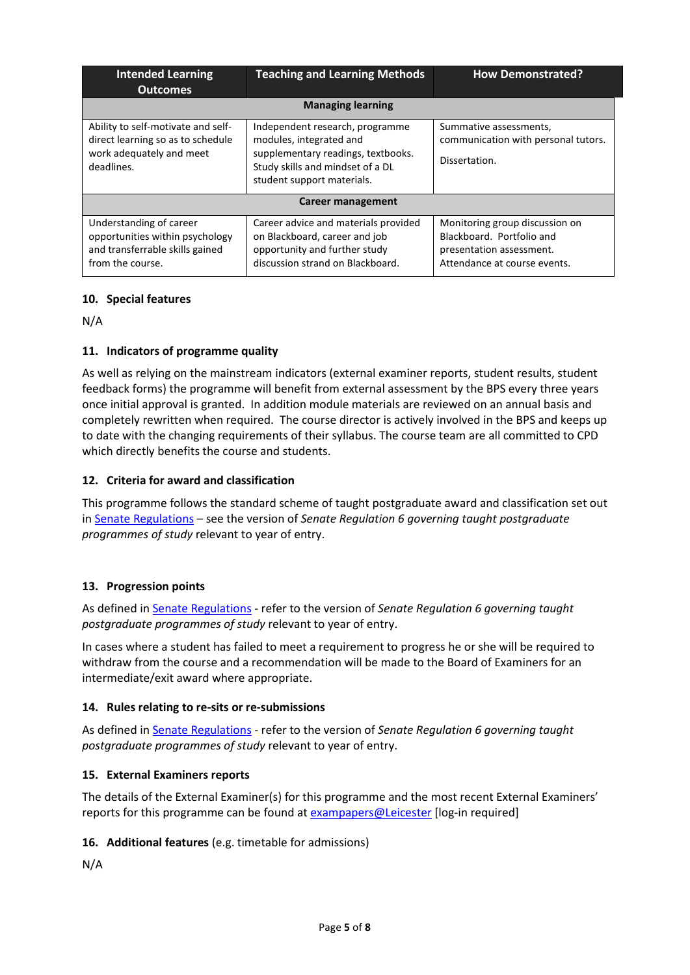| <b>Intended Learning</b><br><b>Outcomes</b>                                                                       | <b>Teaching and Learning Methods</b>                                                                                                                               | <b>How Demonstrated?</b>                                                                                                |
|-------------------------------------------------------------------------------------------------------------------|--------------------------------------------------------------------------------------------------------------------------------------------------------------------|-------------------------------------------------------------------------------------------------------------------------|
|                                                                                                                   | <b>Managing learning</b>                                                                                                                                           |                                                                                                                         |
| Ability to self-motivate and self-<br>direct learning so as to schedule<br>work adequately and meet<br>deadlines. | Independent research, programme<br>modules, integrated and<br>supplementary readings, textbooks.<br>Study skills and mindset of a DL<br>student support materials. | Summative assessments,<br>communication with personal tutors.<br>Dissertation.                                          |
|                                                                                                                   | Career management                                                                                                                                                  |                                                                                                                         |
| Understanding of career<br>opportunities within psychology<br>and transferrable skills gained<br>from the course. | Career advice and materials provided<br>on Blackboard, career and job<br>opportunity and further study<br>discussion strand on Blackboard.                         | Monitoring group discussion on<br>Blackboard. Portfolio and<br>presentation assessment.<br>Attendance at course events. |

### **10. Special features**

N/A

## **11. Indicators of programme quality**

As well as relying on the mainstream indicators (external examiner reports, student results, student feedback forms) the programme will benefit from external assessment by the BPS every three years once initial approval is granted. In addition module materials are reviewed on an annual basis and completely rewritten when required. The course director is actively involved in the BPS and keeps up to date with the changing requirements of their syllabus. The course team are all committed to CPD which directly benefits the course and students.

## **12. Criteria for award and classification**

This programme follows the standard scheme of taught postgraduate award and classification set out i[n Senate Regulations](http://www.le.ac.uk/senate-regulations) – see the version of *Senate Regulation 6 governing taught postgraduate programmes of study* relevant to year of entry.

### **13. Progression points**

As defined i[n Senate Regulations](http://www.le.ac.uk/senate-regulation6) - refer to the version of *Senate Regulation 6 governing taught postgraduate programmes of study* relevant to year of entry.

In cases where a student has failed to meet a requirement to progress he or she will be required to withdraw from the course and a recommendation will be made to the Board of Examiners for an intermediate/exit award where appropriate.

### **14. Rules relating to re-sits or re-submissions**

As defined i[n Senate Regulations](http://www.le.ac.uk/senate-regulation6) - refer to the version of *Senate Regulation 6 governing taught postgraduate programmes of study* relevant to year of entry.

### **15. External Examiners reports**

The details of the External Examiner(s) for this programme and the most recent External Examiners' reports for this programme can be found at [exampapers@Leicester](https://exampapers.le.ac.uk/) [log-in required]

### **16. Additional features** (e.g. timetable for admissions)

N/A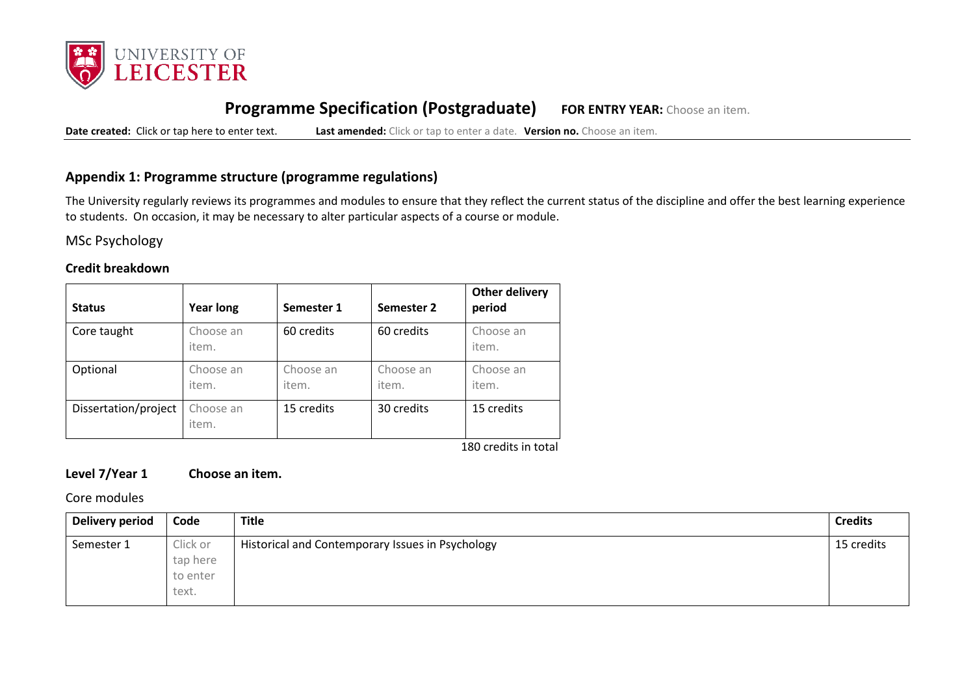

# **Programme Specification (Postgraduate) FOR ENTRY YEAR:** Choose an item.

**Date created:** Click or tap here to enter text. **Last amended:** Click or tap to enter a date. **Version no.** Choose an item.

## **Appendix 1: Programme structure (programme regulations)**

The University regularly reviews its programmes and modules to ensure that they reflect the current status of the discipline and offer the best learning experience to students. On occasion, it may be necessary to alter particular aspects of a course or module.

MSc Psychology

#### **Credit breakdown**

| <b>Status</b>        | <b>Year long</b>   | Semester 1         | Semester 2         | <b>Other delivery</b><br>period |
|----------------------|--------------------|--------------------|--------------------|---------------------------------|
| Core taught          | Choose an<br>item. | 60 credits         | 60 credits         | Choose an<br>item.              |
| Optional             | Choose an<br>item. | Choose an<br>item. | Choose an<br>item. | Choose an<br>item.              |
| Dissertation/project | Choose an<br>item. | 15 credits         | 30 credits         | 15 credits                      |

180 credits in total

## **Level 7/Year 1 Choose an item.**

Core modules

| Delivery period | Code                                      | <b>Title</b>                                     | <b>Credits</b> |
|-----------------|-------------------------------------------|--------------------------------------------------|----------------|
| Semester 1      | Click or<br>tap here<br>to enter<br>text. | Historical and Contemporary Issues in Psychology | 15 credits     |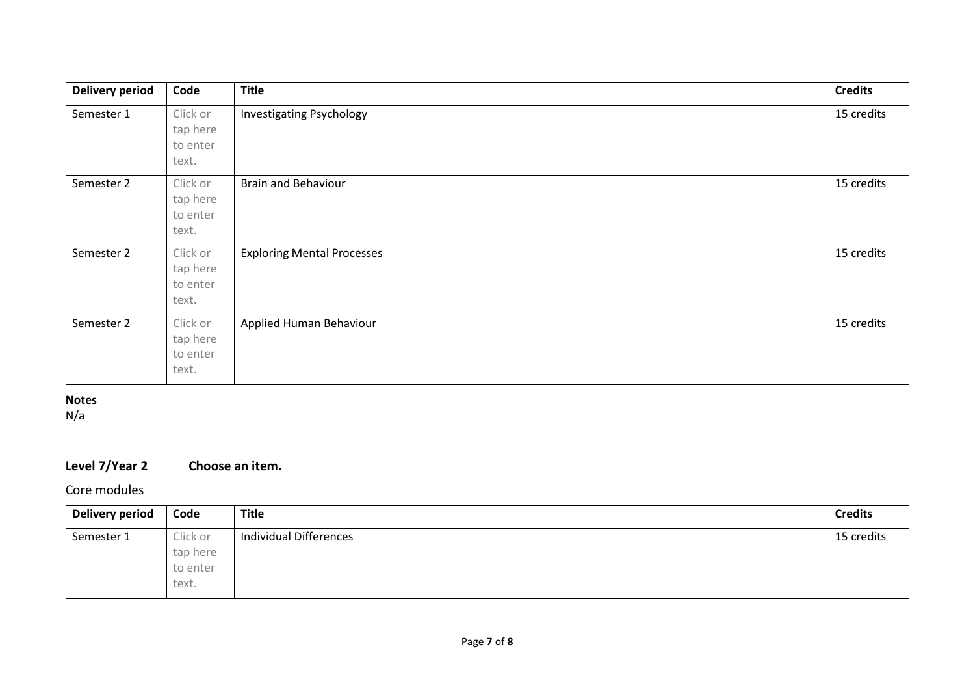| <b>Delivery period</b> | Code                                      | <b>Title</b>                      | <b>Credits</b> |
|------------------------|-------------------------------------------|-----------------------------------|----------------|
| Semester 1             | Click or<br>tap here<br>to enter<br>text. | <b>Investigating Psychology</b>   | 15 credits     |
| Semester 2             | Click or<br>tap here<br>to enter<br>text. | <b>Brain and Behaviour</b>        | 15 credits     |
| Semester 2             | Click or<br>tap here<br>to enter<br>text. | <b>Exploring Mental Processes</b> | 15 credits     |
| Semester 2             | Click or<br>tap here<br>to enter<br>text. | Applied Human Behaviour           | 15 credits     |

## **Notes**

N/a

# **Level 7/Year 2 Choose an item.**

## Core modules

| <b>Delivery period</b> | Code     | <b>Title</b>           | <b>Credits</b> |
|------------------------|----------|------------------------|----------------|
| Semester 1             | Click or | Individual Differences | 15 credits     |
|                        | tap here |                        |                |
|                        | to enter |                        |                |
|                        | text.    |                        |                |